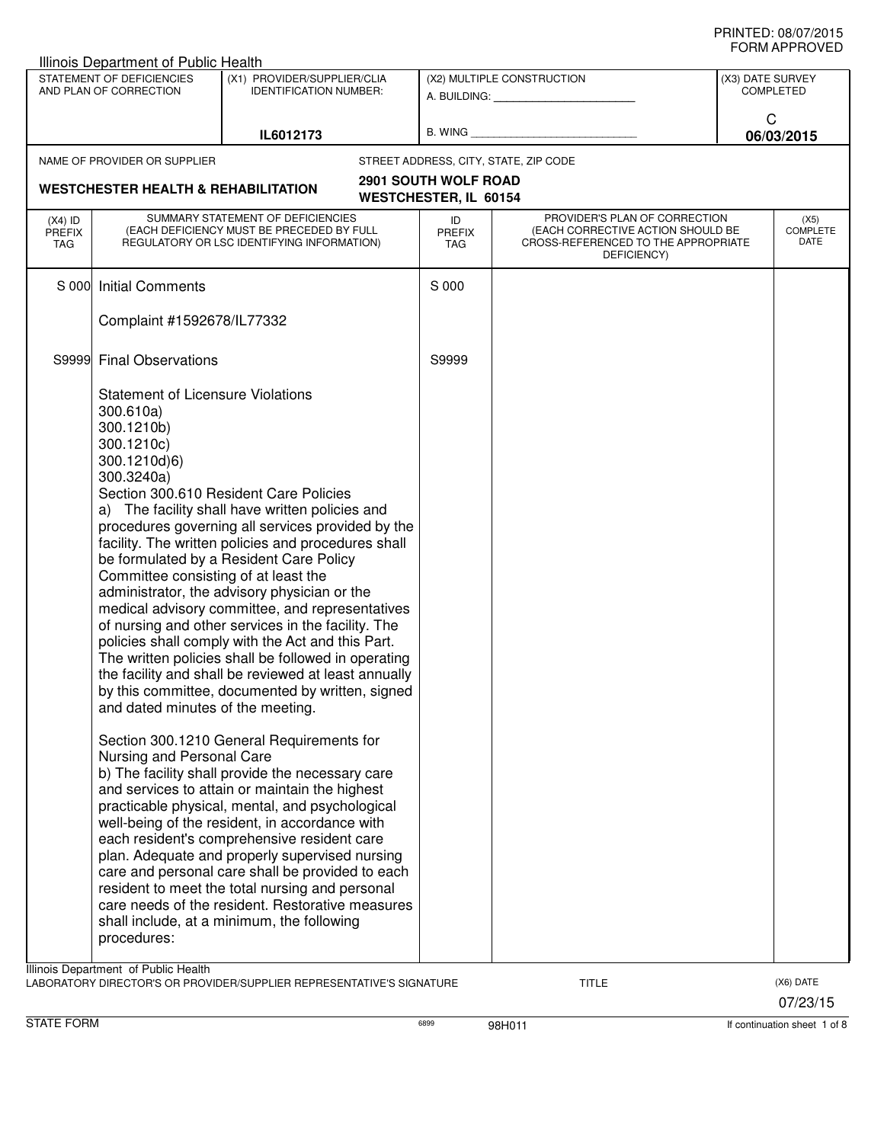|                                   | Illinois Department of Public Health                                                                                                                                                                                                     |                                                                                                                                                                                                                                                                                                                                                                                                                                                                                                                                                                                                                                                                                                                                                                                                                                                                                                                                                                                                                                                                                                                                                                                                     |                                                             |                                                                                                                          |                  | ◡੶┉灬┌┅ ┌ ┌ ┌ ∪ ∪ ∟◡             |
|-----------------------------------|------------------------------------------------------------------------------------------------------------------------------------------------------------------------------------------------------------------------------------------|-----------------------------------------------------------------------------------------------------------------------------------------------------------------------------------------------------------------------------------------------------------------------------------------------------------------------------------------------------------------------------------------------------------------------------------------------------------------------------------------------------------------------------------------------------------------------------------------------------------------------------------------------------------------------------------------------------------------------------------------------------------------------------------------------------------------------------------------------------------------------------------------------------------------------------------------------------------------------------------------------------------------------------------------------------------------------------------------------------------------------------------------------------------------------------------------------------|-------------------------------------------------------------|--------------------------------------------------------------------------------------------------------------------------|------------------|---------------------------------|
|                                   | STATEMENT OF DEFICIENCIES<br>AND PLAN OF CORRECTION                                                                                                                                                                                      | (X1) PROVIDER/SUPPLIER/CLIA<br><b>IDENTIFICATION NUMBER:</b>                                                                                                                                                                                                                                                                                                                                                                                                                                                                                                                                                                                                                                                                                                                                                                                                                                                                                                                                                                                                                                                                                                                                        |                                                             | (X2) MULTIPLE CONSTRUCTION<br>A. BUILDING: A. BUILDING:                                                                  | (X3) DATE SURVEY | <b>COMPLETED</b>                |
|                                   |                                                                                                                                                                                                                                          | IL6012173                                                                                                                                                                                                                                                                                                                                                                                                                                                                                                                                                                                                                                                                                                                                                                                                                                                                                                                                                                                                                                                                                                                                                                                           |                                                             |                                                                                                                          | C                | 06/03/2015                      |
|                                   | NAME OF PROVIDER OR SUPPLIER                                                                                                                                                                                                             |                                                                                                                                                                                                                                                                                                                                                                                                                                                                                                                                                                                                                                                                                                                                                                                                                                                                                                                                                                                                                                                                                                                                                                                                     |                                                             | STREET ADDRESS, CITY, STATE, ZIP CODE                                                                                    |                  |                                 |
|                                   | <b>WESTCHESTER HEALTH &amp; REHABILITATION</b>                                                                                                                                                                                           |                                                                                                                                                                                                                                                                                                                                                                                                                                                                                                                                                                                                                                                                                                                                                                                                                                                                                                                                                                                                                                                                                                                                                                                                     | <b>2901 SOUTH WOLF ROAD</b><br><b>WESTCHESTER, IL 60154</b> |                                                                                                                          |                  |                                 |
| $(X4)$ ID<br><b>PREFIX</b><br>TAG |                                                                                                                                                                                                                                          | SUMMARY STATEMENT OF DEFICIENCIES<br>(EACH DEFICIENCY MUST BE PRECEDED BY FULL<br>REGULATORY OR LSC IDENTIFYING INFORMATION)                                                                                                                                                                                                                                                                                                                                                                                                                                                                                                                                                                                                                                                                                                                                                                                                                                                                                                                                                                                                                                                                        | ID<br><b>PREFIX</b><br>TAG                                  | PROVIDER'S PLAN OF CORRECTION<br>(EACH CORRECTIVE ACTION SHOULD BE<br>CROSS-REFERENCED TO THE APPROPRIATE<br>DEFICIENCY) |                  | (X5)<br><b>COMPLETE</b><br>DATE |
| S 000                             | <b>Initial Comments</b>                                                                                                                                                                                                                  |                                                                                                                                                                                                                                                                                                                                                                                                                                                                                                                                                                                                                                                                                                                                                                                                                                                                                                                                                                                                                                                                                                                                                                                                     | S 000                                                       |                                                                                                                          |                  |                                 |
|                                   | Complaint #1592678/IL77332                                                                                                                                                                                                               |                                                                                                                                                                                                                                                                                                                                                                                                                                                                                                                                                                                                                                                                                                                                                                                                                                                                                                                                                                                                                                                                                                                                                                                                     |                                                             |                                                                                                                          |                  |                                 |
| S9999                             | <b>Final Observations</b>                                                                                                                                                                                                                |                                                                                                                                                                                                                                                                                                                                                                                                                                                                                                                                                                                                                                                                                                                                                                                                                                                                                                                                                                                                                                                                                                                                                                                                     | S9999                                                       |                                                                                                                          |                  |                                 |
|                                   | <b>Statement of Licensure Violations</b><br>300.610a)<br>300.1210b)<br>300.1210c)<br>300.1210d)6)<br>300.3240a)<br>Committee consisting of at least the<br>and dated minutes of the meeting.<br>Nursing and Personal Care<br>procedures: | Section 300.610 Resident Care Policies<br>a) The facility shall have written policies and<br>procedures governing all services provided by the<br>facility. The written policies and procedures shall<br>be formulated by a Resident Care Policy<br>administrator, the advisory physician or the<br>medical advisory committee, and representatives<br>of nursing and other services in the facility. The<br>policies shall comply with the Act and this Part.<br>The written policies shall be followed in operating<br>the facility and shall be reviewed at least annually<br>by this committee, documented by written, signed<br>Section 300.1210 General Requirements for<br>b) The facility shall provide the necessary care<br>and services to attain or maintain the highest<br>practicable physical, mental, and psychological<br>well-being of the resident, in accordance with<br>each resident's comprehensive resident care<br>plan. Adequate and properly supervised nursing<br>care and personal care shall be provided to each<br>resident to meet the total nursing and personal<br>care needs of the resident. Restorative measures<br>shall include, at a minimum, the following |                                                             |                                                                                                                          |                  |                                 |
|                                   | Illinois Department of Public Health                                                                                                                                                                                                     | LABORATORY DIRECTOR'S OR PROVIDER/SUPPLIER REPRESENTATIVE'S SIGNATURE                                                                                                                                                                                                                                                                                                                                                                                                                                                                                                                                                                                                                                                                                                                                                                                                                                                                                                                                                                                                                                                                                                                               |                                                             | <b>TITLE</b>                                                                                                             |                  | (X6) DATE<br>07/23/15           |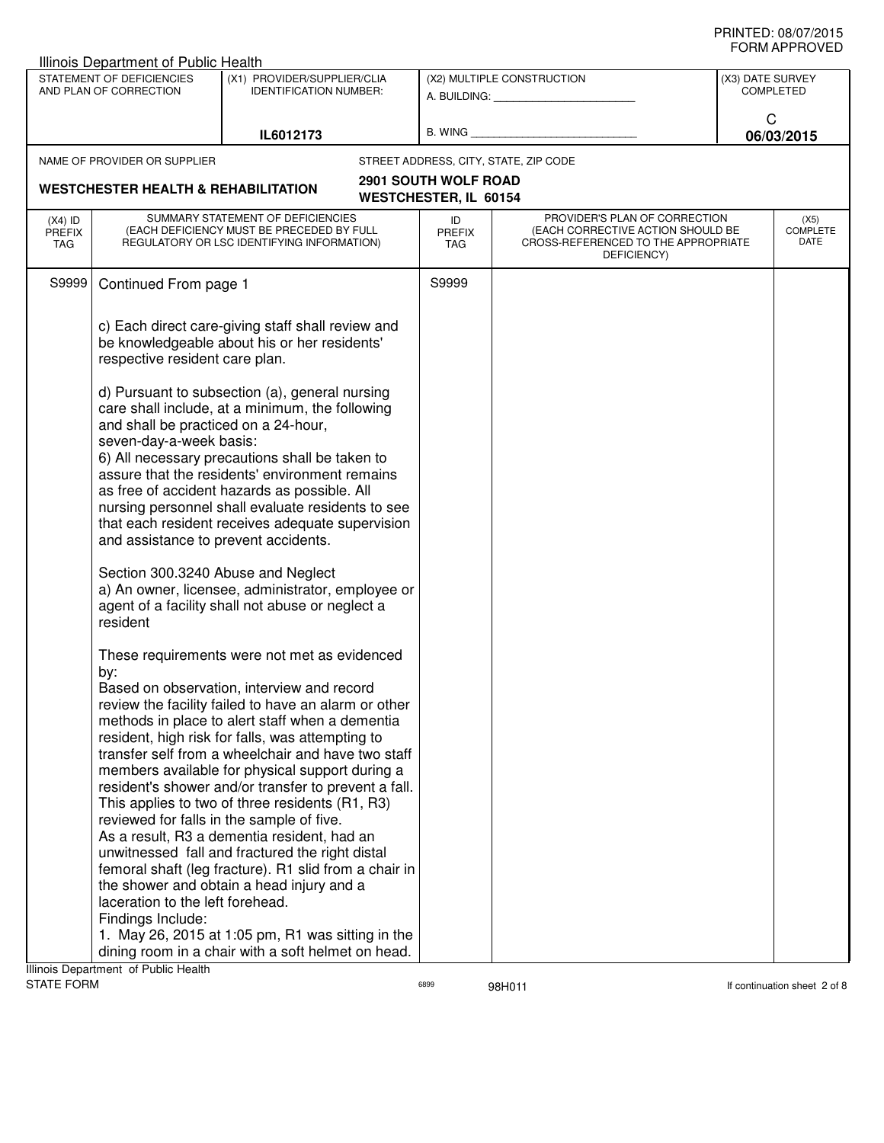| Illinois Department of Public Health           |                                                                            |                                                                                                                                                                                                                                                           |                                   |                                                                                                                          |                  |                                 |
|------------------------------------------------|----------------------------------------------------------------------------|-----------------------------------------------------------------------------------------------------------------------------------------------------------------------------------------------------------------------------------------------------------|-----------------------------------|--------------------------------------------------------------------------------------------------------------------------|------------------|---------------------------------|
|                                                | STATEMENT OF DEFICIENCIES<br>AND PLAN OF CORRECTION                        | (X1) PROVIDER/SUPPLIER/CLIA<br><b>IDENTIFICATION NUMBER:</b>                                                                                                                                                                                              |                                   | (X2) MULTIPLE CONSTRUCTION<br>A. BUILDING: A. BUILDING:                                                                  | (X3) DATE SURVEY | <b>COMPLETED</b>                |
|                                                |                                                                            | IL6012173                                                                                                                                                                                                                                                 | B. WING                           |                                                                                                                          | C                | 06/03/2015                      |
|                                                | NAME OF PROVIDER OR SUPPLIER                                               |                                                                                                                                                                                                                                                           |                                   | STREET ADDRESS, CITY, STATE, ZIP CODE                                                                                    |                  |                                 |
|                                                |                                                                            |                                                                                                                                                                                                                                                           | <b>2901 SOUTH WOLF ROAD</b>       |                                                                                                                          |                  |                                 |
| <b>WESTCHESTER HEALTH &amp; REHABILITATION</b> |                                                                            | <b>WESTCHESTER, IL 60154</b>                                                                                                                                                                                                                              |                                   |                                                                                                                          |                  |                                 |
| $(X4)$ ID<br><b>PREFIX</b><br>TAG              |                                                                            | SUMMARY STATEMENT OF DEFICIENCIES<br>(EACH DEFICIENCY MUST BE PRECEDED BY FULL<br>REGULATORY OR LSC IDENTIFYING INFORMATION)                                                                                                                              | ID<br><b>PREFIX</b><br><b>TAG</b> | PROVIDER'S PLAN OF CORRECTION<br>(EACH CORRECTIVE ACTION SHOULD BE<br>CROSS-REFERENCED TO THE APPROPRIATE<br>DEFICIENCY) |                  | (X5)<br><b>COMPLETE</b><br>DATE |
| S9999                                          | Continued From page 1                                                      |                                                                                                                                                                                                                                                           | S9999                             |                                                                                                                          |                  |                                 |
|                                                | respective resident care plan.                                             | c) Each direct care-giving staff shall review and<br>be knowledgeable about his or her residents'                                                                                                                                                         |                                   |                                                                                                                          |                  |                                 |
|                                                | and shall be practiced on a 24-hour,<br>seven-day-a-week basis:            | d) Pursuant to subsection (a), general nursing<br>care shall include, at a minimum, the following                                                                                                                                                         |                                   |                                                                                                                          |                  |                                 |
|                                                |                                                                            | 6) All necessary precautions shall be taken to<br>assure that the residents' environment remains<br>as free of accident hazards as possible. All<br>nursing personnel shall evaluate residents to see<br>that each resident receives adequate supervision |                                   |                                                                                                                          |                  |                                 |
|                                                | and assistance to prevent accidents.<br>Section 300.3240 Abuse and Neglect |                                                                                                                                                                                                                                                           |                                   |                                                                                                                          |                  |                                 |
|                                                | resident                                                                   | a) An owner, licensee, administrator, employee or<br>agent of a facility shall not abuse or neglect a                                                                                                                                                     |                                   |                                                                                                                          |                  |                                 |
|                                                | by:                                                                        | These requirements were not met as evidenced                                                                                                                                                                                                              |                                   |                                                                                                                          |                  |                                 |
|                                                |                                                                            | Based on observation, interview and record<br>review the facility failed to have an alarm or other<br>methods in place to alert staff when a dementia                                                                                                     |                                   |                                                                                                                          |                  |                                 |
|                                                |                                                                            | resident, high risk for falls, was attempting to<br>transfer self from a wheelchair and have two staff                                                                                                                                                    |                                   |                                                                                                                          |                  |                                 |
|                                                |                                                                            | members available for physical support during a<br>resident's shower and/or transfer to prevent a fall.                                                                                                                                                   |                                   |                                                                                                                          |                  |                                 |
|                                                | reviewed for falls in the sample of five.                                  | This applies to two of three residents (R1, R3)<br>As a result, R3 a dementia resident, had an                                                                                                                                                            |                                   |                                                                                                                          |                  |                                 |
|                                                |                                                                            | unwitnessed fall and fractured the right distal<br>femoral shaft (leg fracture). R1 slid from a chair in                                                                                                                                                  |                                   |                                                                                                                          |                  |                                 |
|                                                | laceration to the left forehead.                                           | the shower and obtain a head injury and a                                                                                                                                                                                                                 |                                   |                                                                                                                          |                  |                                 |
|                                                | Findings Include:                                                          | 1. May 26, 2015 at 1:05 pm, R1 was sitting in the<br>dining room in a chair with a soft helmet on head.                                                                                                                                                   |                                   |                                                                                                                          |                  |                                 |
|                                                | linois Department of Public Health                                         |                                                                                                                                                                                                                                                           |                                   |                                                                                                                          |                  |                                 |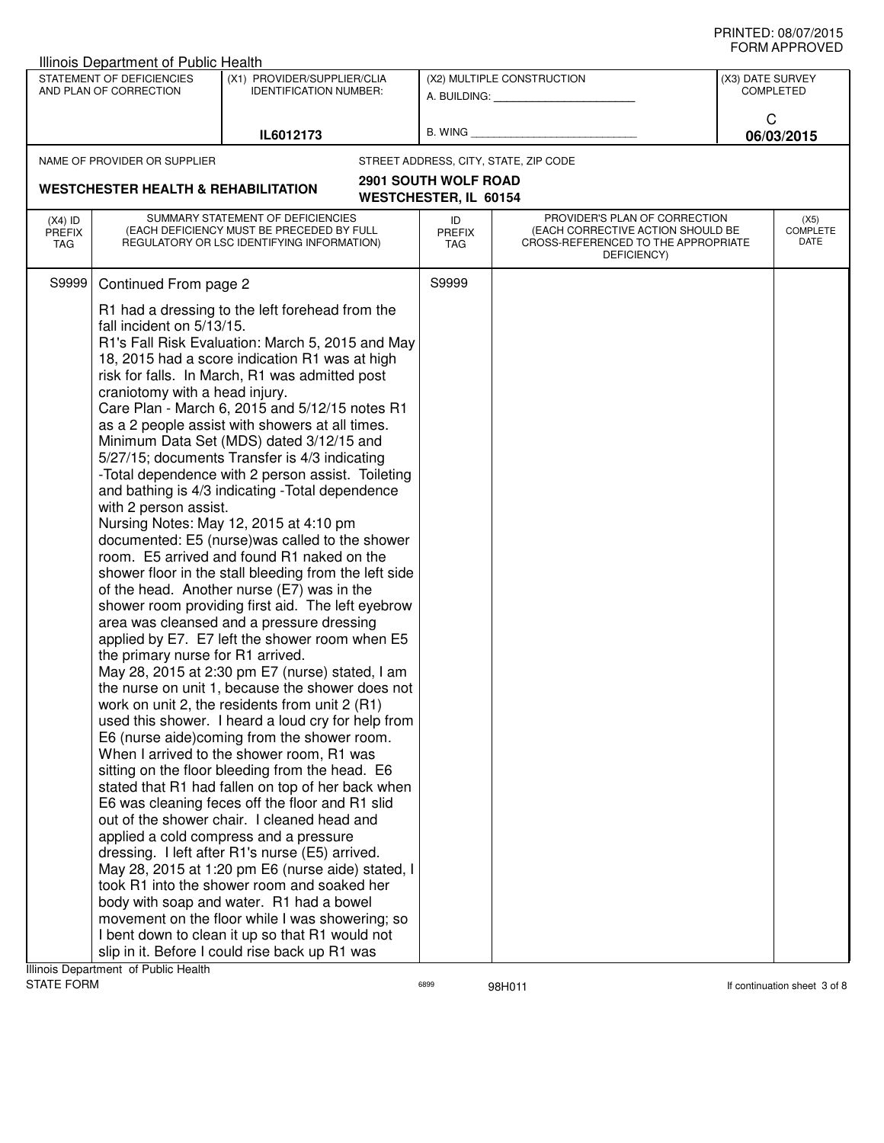| Illinois Department of Public Health           |                                                                                                                           |                                                                                                                                                                                                                                                                                                                                                                                                                                                                                                                                                                                                                                                                                                                                                                                                                                                                                                                                                                                                                                                                                                                                                                                                                                                                                                                                                                                                                                                                                                                                                                                                                                                                                                                                                                                                                                                    |                              |                                                                                                                          |                  | שם ערו וחשווט                   |
|------------------------------------------------|---------------------------------------------------------------------------------------------------------------------------|----------------------------------------------------------------------------------------------------------------------------------------------------------------------------------------------------------------------------------------------------------------------------------------------------------------------------------------------------------------------------------------------------------------------------------------------------------------------------------------------------------------------------------------------------------------------------------------------------------------------------------------------------------------------------------------------------------------------------------------------------------------------------------------------------------------------------------------------------------------------------------------------------------------------------------------------------------------------------------------------------------------------------------------------------------------------------------------------------------------------------------------------------------------------------------------------------------------------------------------------------------------------------------------------------------------------------------------------------------------------------------------------------------------------------------------------------------------------------------------------------------------------------------------------------------------------------------------------------------------------------------------------------------------------------------------------------------------------------------------------------------------------------------------------------------------------------------------------------|------------------------------|--------------------------------------------------------------------------------------------------------------------------|------------------|---------------------------------|
|                                                | STATEMENT OF DEFICIENCIES<br>AND PLAN OF CORRECTION                                                                       | (X1) PROVIDER/SUPPLIER/CLIA<br><b>IDENTIFICATION NUMBER:</b>                                                                                                                                                                                                                                                                                                                                                                                                                                                                                                                                                                                                                                                                                                                                                                                                                                                                                                                                                                                                                                                                                                                                                                                                                                                                                                                                                                                                                                                                                                                                                                                                                                                                                                                                                                                       |                              | (X2) MULTIPLE CONSTRUCTION<br>A. BUILDING: A. BUILDING:                                                                  | (X3) DATE SURVEY | <b>COMPLETED</b>                |
|                                                |                                                                                                                           | IL6012173                                                                                                                                                                                                                                                                                                                                                                                                                                                                                                                                                                                                                                                                                                                                                                                                                                                                                                                                                                                                                                                                                                                                                                                                                                                                                                                                                                                                                                                                                                                                                                                                                                                                                                                                                                                                                                          | B. WING                      |                                                                                                                          | C                | 06/03/2015                      |
|                                                | NAME OF PROVIDER OR SUPPLIER                                                                                              |                                                                                                                                                                                                                                                                                                                                                                                                                                                                                                                                                                                                                                                                                                                                                                                                                                                                                                                                                                                                                                                                                                                                                                                                                                                                                                                                                                                                                                                                                                                                                                                                                                                                                                                                                                                                                                                    |                              | STREET ADDRESS, CITY, STATE, ZIP CODE                                                                                    |                  |                                 |
| <b>WESTCHESTER HEALTH &amp; REHABILITATION</b> |                                                                                                                           | <b>2901 SOUTH WOLF ROAD</b>                                                                                                                                                                                                                                                                                                                                                                                                                                                                                                                                                                                                                                                                                                                                                                                                                                                                                                                                                                                                                                                                                                                                                                                                                                                                                                                                                                                                                                                                                                                                                                                                                                                                                                                                                                                                                        |                              |                                                                                                                          |                  |                                 |
|                                                |                                                                                                                           |                                                                                                                                                                                                                                                                                                                                                                                                                                                                                                                                                                                                                                                                                                                                                                                                                                                                                                                                                                                                                                                                                                                                                                                                                                                                                                                                                                                                                                                                                                                                                                                                                                                                                                                                                                                                                                                    | <b>WESTCHESTER, IL 60154</b> |                                                                                                                          |                  |                                 |
| $(X4)$ ID<br><b>PREFIX</b><br>TAG              |                                                                                                                           | SUMMARY STATEMENT OF DEFICIENCIES<br>(EACH DEFICIENCY MUST BE PRECEDED BY FULL<br>REGULATORY OR LSC IDENTIFYING INFORMATION)                                                                                                                                                                                                                                                                                                                                                                                                                                                                                                                                                                                                                                                                                                                                                                                                                                                                                                                                                                                                                                                                                                                                                                                                                                                                                                                                                                                                                                                                                                                                                                                                                                                                                                                       | ID<br><b>PREFIX</b><br>TAG   | PROVIDER'S PLAN OF CORRECTION<br>(EACH CORRECTIVE ACTION SHOULD BE<br>CROSS-REFERENCED TO THE APPROPRIATE<br>DEFICIENCY) |                  | (X5)<br><b>COMPLETE</b><br>DATE |
| S9999                                          | Continued From page 2                                                                                                     |                                                                                                                                                                                                                                                                                                                                                                                                                                                                                                                                                                                                                                                                                                                                                                                                                                                                                                                                                                                                                                                                                                                                                                                                                                                                                                                                                                                                                                                                                                                                                                                                                                                                                                                                                                                                                                                    | S9999                        |                                                                                                                          |                  |                                 |
|                                                | fall incident on 5/13/15.<br>craniotomy with a head injury.<br>with 2 person assist.<br>the primary nurse for R1 arrived. | R1 had a dressing to the left forehead from the<br>R1's Fall Risk Evaluation: March 5, 2015 and May<br>18, 2015 had a score indication R1 was at high<br>risk for falls. In March, R1 was admitted post<br>Care Plan - March 6, 2015 and 5/12/15 notes R1<br>as a 2 people assist with showers at all times.<br>Minimum Data Set (MDS) dated 3/12/15 and<br>5/27/15; documents Transfer is 4/3 indicating<br>-Total dependence with 2 person assist. Toileting<br>and bathing is 4/3 indicating - Total dependence<br>Nursing Notes: May 12, 2015 at 4:10 pm<br>documented: E5 (nurse) was called to the shower<br>room. E5 arrived and found R1 naked on the<br>shower floor in the stall bleeding from the left side<br>of the head. Another nurse (E7) was in the<br>shower room providing first aid. The left eyebrow<br>area was cleansed and a pressure dressing<br>applied by E7. E7 left the shower room when E5<br>May 28, 2015 at 2:30 pm E7 (nurse) stated, I am<br>the nurse on unit 1, because the shower does not<br>work on unit 2, the residents from unit 2 (R1)<br>used this shower. I heard a loud cry for help from<br>E6 (nurse aide)coming from the shower room.<br>When I arrived to the shower room, R1 was<br>sitting on the floor bleeding from the head. E6<br>stated that R1 had fallen on top of her back when<br>E6 was cleaning feces off the floor and R1 slid<br>out of the shower chair. I cleaned head and<br>applied a cold compress and a pressure<br>dressing. I left after R1's nurse (E5) arrived.<br>May 28, 2015 at 1:20 pm E6 (nurse aide) stated, I<br>took R1 into the shower room and soaked her<br>body with soap and water. R1 had a bowel<br>movement on the floor while I was showering; so<br>I bent down to clean it up so that R1 would not<br>slip in it. Before I could rise back up R1 was |                              |                                                                                                                          |                  |                                 |

assets the state of the STATE of the STATE of the STATE of the STATE of the STATE of the STATE of the STATE of the STATE of the STATE of the STATE of the STATE of the STATE of the STATE of the STATE of the STATE of the STA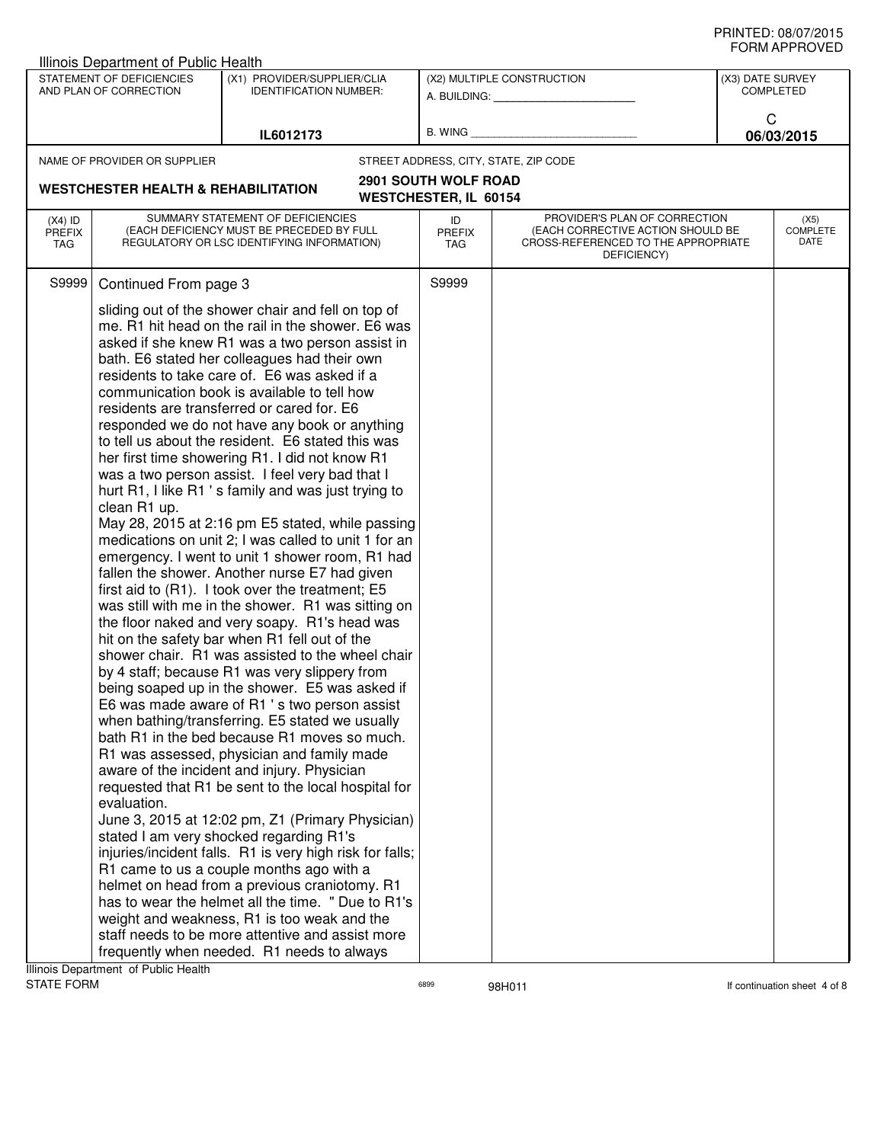|                                   | Illinois Department of Public Health                                |                                                                                                                                                                                                                                                                                                                                                                                                                                                                                                                                                                                                                                                                                                                                                                                                                                                                                                                                                                                                                                                                                                                                                                                                                                                                                                                                                                                                                                                                                                                                                                                                                                                                                                                                                                                                                                                                                                                                                                                   |                              |                                                                                                                          |                  | שם ערו וחשווט                   |
|-----------------------------------|---------------------------------------------------------------------|-----------------------------------------------------------------------------------------------------------------------------------------------------------------------------------------------------------------------------------------------------------------------------------------------------------------------------------------------------------------------------------------------------------------------------------------------------------------------------------------------------------------------------------------------------------------------------------------------------------------------------------------------------------------------------------------------------------------------------------------------------------------------------------------------------------------------------------------------------------------------------------------------------------------------------------------------------------------------------------------------------------------------------------------------------------------------------------------------------------------------------------------------------------------------------------------------------------------------------------------------------------------------------------------------------------------------------------------------------------------------------------------------------------------------------------------------------------------------------------------------------------------------------------------------------------------------------------------------------------------------------------------------------------------------------------------------------------------------------------------------------------------------------------------------------------------------------------------------------------------------------------------------------------------------------------------------------------------------------------|------------------------------|--------------------------------------------------------------------------------------------------------------------------|------------------|---------------------------------|
|                                   | STATEMENT OF DEFICIENCIES<br>AND PLAN OF CORRECTION                 | (X1) PROVIDER/SUPPLIER/CLIA<br><b>IDENTIFICATION NUMBER:</b>                                                                                                                                                                                                                                                                                                                                                                                                                                                                                                                                                                                                                                                                                                                                                                                                                                                                                                                                                                                                                                                                                                                                                                                                                                                                                                                                                                                                                                                                                                                                                                                                                                                                                                                                                                                                                                                                                                                      |                              | (X2) MULTIPLE CONSTRUCTION<br>A. BUILDING: A.                                                                            | (X3) DATE SURVEY | COMPLETED                       |
|                                   |                                                                     | IL6012173                                                                                                                                                                                                                                                                                                                                                                                                                                                                                                                                                                                                                                                                                                                                                                                                                                                                                                                                                                                                                                                                                                                                                                                                                                                                                                                                                                                                                                                                                                                                                                                                                                                                                                                                                                                                                                                                                                                                                                         | B. WING                      |                                                                                                                          | C                | 06/03/2015                      |
|                                   | NAME OF PROVIDER OR SUPPLIER                                        |                                                                                                                                                                                                                                                                                                                                                                                                                                                                                                                                                                                                                                                                                                                                                                                                                                                                                                                                                                                                                                                                                                                                                                                                                                                                                                                                                                                                                                                                                                                                                                                                                                                                                                                                                                                                                                                                                                                                                                                   |                              | STREET ADDRESS, CITY, STATE, ZIP CODE                                                                                    |                  |                                 |
|                                   |                                                                     |                                                                                                                                                                                                                                                                                                                                                                                                                                                                                                                                                                                                                                                                                                                                                                                                                                                                                                                                                                                                                                                                                                                                                                                                                                                                                                                                                                                                                                                                                                                                                                                                                                                                                                                                                                                                                                                                                                                                                                                   | <b>2901 SOUTH WOLF ROAD</b>  |                                                                                                                          |                  |                                 |
|                                   | <b>WESTCHESTER HEALTH &amp; REHABILITATION</b>                      |                                                                                                                                                                                                                                                                                                                                                                                                                                                                                                                                                                                                                                                                                                                                                                                                                                                                                                                                                                                                                                                                                                                                                                                                                                                                                                                                                                                                                                                                                                                                                                                                                                                                                                                                                                                                                                                                                                                                                                                   | <b>WESTCHESTER, IL 60154</b> |                                                                                                                          |                  |                                 |
| $(X4)$ ID<br><b>PREFIX</b><br>TAG |                                                                     | SUMMARY STATEMENT OF DEFICIENCIES<br>(EACH DEFICIENCY MUST BE PRECEDED BY FULL<br>REGULATORY OR LSC IDENTIFYING INFORMATION)                                                                                                                                                                                                                                                                                                                                                                                                                                                                                                                                                                                                                                                                                                                                                                                                                                                                                                                                                                                                                                                                                                                                                                                                                                                                                                                                                                                                                                                                                                                                                                                                                                                                                                                                                                                                                                                      | ID<br><b>PREFIX</b><br>TAG   | PROVIDER'S PLAN OF CORRECTION<br>(EACH CORRECTIVE ACTION SHOULD BE<br>CROSS-REFERENCED TO THE APPROPRIATE<br>DEFICIENCY) |                  | (X5)<br><b>COMPLETE</b><br>DATE |
| S9999                             | Continued From page 3                                               |                                                                                                                                                                                                                                                                                                                                                                                                                                                                                                                                                                                                                                                                                                                                                                                                                                                                                                                                                                                                                                                                                                                                                                                                                                                                                                                                                                                                                                                                                                                                                                                                                                                                                                                                                                                                                                                                                                                                                                                   | S9999                        |                                                                                                                          |                  |                                 |
|                                   | clean R1 up.<br>evaluation.<br>Illinois Department of Public Health | sliding out of the shower chair and fell on top of<br>me. R1 hit head on the rail in the shower. E6 was<br>asked if she knew R1 was a two person assist in<br>bath. E6 stated her colleagues had their own<br>residents to take care of. E6 was asked if a<br>communication book is available to tell how<br>residents are transferred or cared for. E6<br>responded we do not have any book or anything<br>to tell us about the resident. E6 stated this was<br>her first time showering R1. I did not know R1<br>was a two person assist. I feel very bad that I<br>hurt R1, I like R1's family and was just trying to<br>May 28, 2015 at 2:16 pm E5 stated, while passing<br>medications on unit 2; I was called to unit 1 for an<br>emergency. I went to unit 1 shower room, R1 had<br>fallen the shower. Another nurse E7 had given<br>first aid to (R1). I took over the treatment; E5<br>was still with me in the shower. R1 was sitting on<br>the floor naked and very soapy. R1's head was<br>hit on the safety bar when R1 fell out of the<br>shower chair. R1 was assisted to the wheel chair<br>by 4 staff; because R1 was very slippery from<br>being soaped up in the shower. E5 was asked if<br>E6 was made aware of R1 's two person assist<br>when bathing/transferring. E5 stated we usually<br>bath R1 in the bed because R1 moves so much.<br>R1 was assessed, physician and family made<br>aware of the incident and injury. Physician<br>requested that R1 be sent to the local hospital for<br>June 3, 2015 at 12:02 pm, Z1 (Primary Physician)<br>stated I am very shocked regarding R1's<br>injuries/incident falls. R1 is very high risk for falls;<br>R1 came to us a couple months ago with a<br>helmet on head from a previous craniotomy. R1<br>has to wear the helmet all the time. " Due to R1's<br>weight and weakness, R1 is too weak and the<br>staff needs to be more attentive and assist more<br>frequently when needed. R1 needs to always |                              |                                                                                                                          |                  |                                 |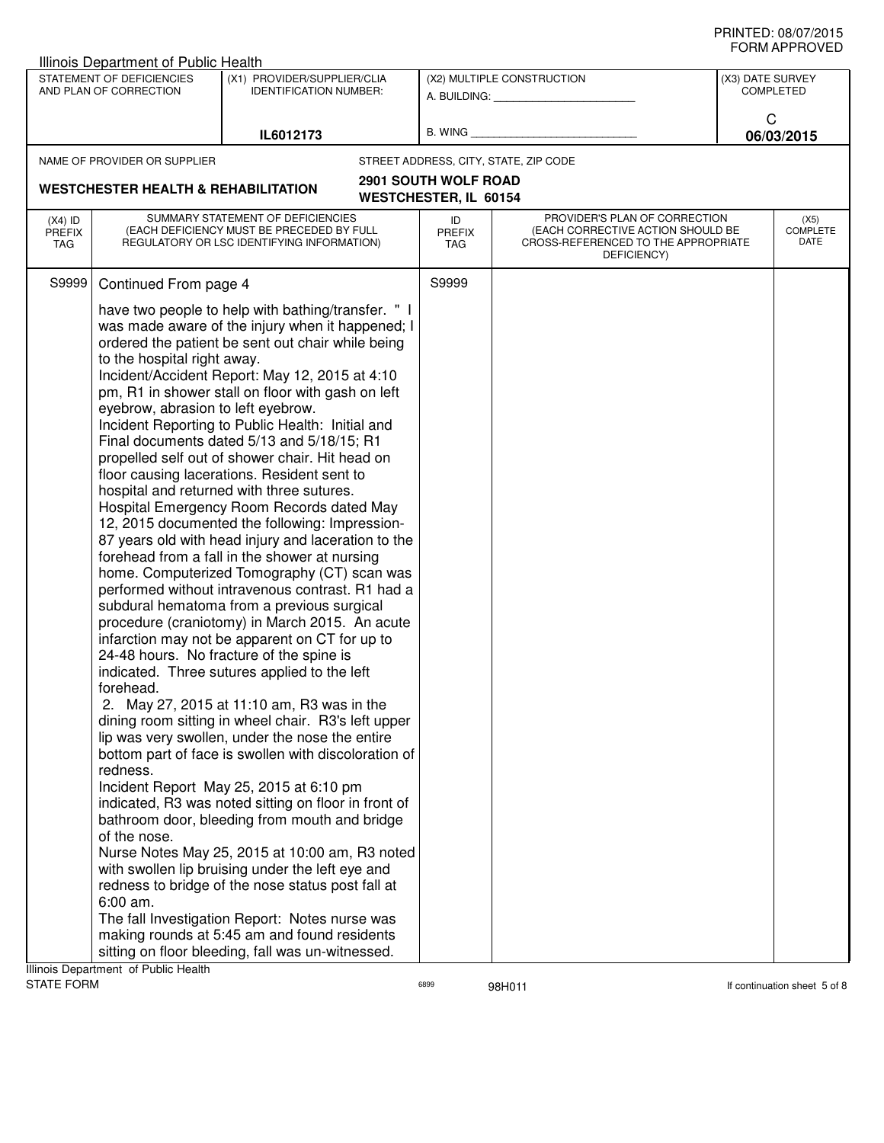| STATEMENT OF DEFICIENCIES<br>(X1) PROVIDER/SUPPLIER/CLIA<br>(X2) MULTIPLE CONSTRUCTION<br>(X3) DATE SURVEY<br>AND PLAN OF CORRECTION<br><b>IDENTIFICATION NUMBER:</b><br><b>COMPLETED</b><br>A. BUILDING: A.<br>C<br>B. WING<br>IL6012173<br>06/03/2015<br>STREET ADDRESS, CITY, STATE, ZIP CODE<br>NAME OF PROVIDER OR SUPPLIER<br><b>2901 SOUTH WOLF ROAD</b><br><b>WESTCHESTER HEALTH &amp; REHABILITATION</b><br><b>WESTCHESTER, IL 60154</b><br>SUMMARY STATEMENT OF DEFICIENCIES<br>PROVIDER'S PLAN OF CORRECTION<br>(X5)<br>$(X4)$ ID<br>ID<br>(EACH DEFICIENCY MUST BE PRECEDED BY FULL<br>(EACH CORRECTIVE ACTION SHOULD BE<br><b>PREFIX</b><br><b>PREFIX</b><br>DATE<br>REGULATORY OR LSC IDENTIFYING INFORMATION)<br>CROSS-REFERENCED TO THE APPROPRIATE<br>TAG<br>TAG<br>DEFICIENCY)<br>S9999<br>Continued From page 4<br>S9999<br>have two people to help with bathing/transfer. " I<br>was made aware of the injury when it happened; I<br>ordered the patient be sent out chair while being<br>to the hospital right away.<br>Incident/Accident Report: May 12, 2015 at 4:10<br>pm, R1 in shower stall on floor with gash on left<br>eyebrow, abrasion to left eyebrow.<br>Incident Reporting to Public Health: Initial and<br>Final documents dated 5/13 and 5/18/15; R1<br>propelled self out of shower chair. Hit head on<br>floor causing lacerations. Resident sent to<br>hospital and returned with three sutures.<br>Hospital Emergency Room Records dated May<br>12, 2015 documented the following: Impression-<br>87 years old with head injury and laceration to the<br>forehead from a fall in the shower at nursing<br>home. Computerized Tomography (CT) scan was<br>performed without intravenous contrast. R1 had a<br>subdural hematoma from a previous surgical<br>procedure (craniotomy) in March 2015. An acute<br>infarction may not be apparent on CT for up to<br>24-48 hours. No fracture of the spine is<br>indicated. Three sutures applied to the left<br>forehead.<br>2. May 27, 2015 at 11:10 am, R3 was in the<br>dining room sitting in wheel chair. R3's left upper<br>lip was very swollen, under the nose the entire<br>bottom part of face is swollen with discoloration of<br>redness.<br>Incident Report May 25, 2015 at 6:10 pm<br>indicated, R3 was noted sitting on floor in front of<br>bathroom door, bleeding from mouth and bridge<br>of the nose.<br>Nurse Notes May 25, 2015 at 10:00 am, R3 noted<br>with swollen lip bruising under the left eye and<br>redness to bridge of the nose status post fall at | Illinois Department of Public Health |  |  | ᅴᄖᄞᇊᆝᆝᇅ៴ᄂ |
|-------------------------------------------------------------------------------------------------------------------------------------------------------------------------------------------------------------------------------------------------------------------------------------------------------------------------------------------------------------------------------------------------------------------------------------------------------------------------------------------------------------------------------------------------------------------------------------------------------------------------------------------------------------------------------------------------------------------------------------------------------------------------------------------------------------------------------------------------------------------------------------------------------------------------------------------------------------------------------------------------------------------------------------------------------------------------------------------------------------------------------------------------------------------------------------------------------------------------------------------------------------------------------------------------------------------------------------------------------------------------------------------------------------------------------------------------------------------------------------------------------------------------------------------------------------------------------------------------------------------------------------------------------------------------------------------------------------------------------------------------------------------------------------------------------------------------------------------------------------------------------------------------------------------------------------------------------------------------------------------------------------------------------------------------------------------------------------------------------------------------------------------------------------------------------------------------------------------------------------------------------------------------------------------------------------------------------------------------------------------------------------------------------------------------------------------------------------------------------------------------------------------------------------------------------------------------|--------------------------------------|--|--|-----------|
|                                                                                                                                                                                                                                                                                                                                                                                                                                                                                                                                                                                                                                                                                                                                                                                                                                                                                                                                                                                                                                                                                                                                                                                                                                                                                                                                                                                                                                                                                                                                                                                                                                                                                                                                                                                                                                                                                                                                                                                                                                                                                                                                                                                                                                                                                                                                                                                                                                                                                                                                                                         |                                      |  |  |           |
|                                                                                                                                                                                                                                                                                                                                                                                                                                                                                                                                                                                                                                                                                                                                                                                                                                                                                                                                                                                                                                                                                                                                                                                                                                                                                                                                                                                                                                                                                                                                                                                                                                                                                                                                                                                                                                                                                                                                                                                                                                                                                                                                                                                                                                                                                                                                                                                                                                                                                                                                                                         |                                      |  |  |           |
|                                                                                                                                                                                                                                                                                                                                                                                                                                                                                                                                                                                                                                                                                                                                                                                                                                                                                                                                                                                                                                                                                                                                                                                                                                                                                                                                                                                                                                                                                                                                                                                                                                                                                                                                                                                                                                                                                                                                                                                                                                                                                                                                                                                                                                                                                                                                                                                                                                                                                                                                                                         |                                      |  |  |           |
|                                                                                                                                                                                                                                                                                                                                                                                                                                                                                                                                                                                                                                                                                                                                                                                                                                                                                                                                                                                                                                                                                                                                                                                                                                                                                                                                                                                                                                                                                                                                                                                                                                                                                                                                                                                                                                                                                                                                                                                                                                                                                                                                                                                                                                                                                                                                                                                                                                                                                                                                                                         |                                      |  |  |           |
|                                                                                                                                                                                                                                                                                                                                                                                                                                                                                                                                                                                                                                                                                                                                                                                                                                                                                                                                                                                                                                                                                                                                                                                                                                                                                                                                                                                                                                                                                                                                                                                                                                                                                                                                                                                                                                                                                                                                                                                                                                                                                                                                                                                                                                                                                                                                                                                                                                                                                                                                                                         |                                      |  |  |           |
|                                                                                                                                                                                                                                                                                                                                                                                                                                                                                                                                                                                                                                                                                                                                                                                                                                                                                                                                                                                                                                                                                                                                                                                                                                                                                                                                                                                                                                                                                                                                                                                                                                                                                                                                                                                                                                                                                                                                                                                                                                                                                                                                                                                                                                                                                                                                                                                                                                                                                                                                                                         |                                      |  |  | COMPLETE  |
|                                                                                                                                                                                                                                                                                                                                                                                                                                                                                                                                                                                                                                                                                                                                                                                                                                                                                                                                                                                                                                                                                                                                                                                                                                                                                                                                                                                                                                                                                                                                                                                                                                                                                                                                                                                                                                                                                                                                                                                                                                                                                                                                                                                                                                                                                                                                                                                                                                                                                                                                                                         |                                      |  |  |           |
| $6:00$ am.<br>The fall Investigation Report: Notes nurse was<br>making rounds at 5:45 am and found residents<br>sitting on floor bleeding, fall was un-witnessed.<br>Illinois Department of Public Health                                                                                                                                                                                                                                                                                                                                                                                                                                                                                                                                                                                                                                                                                                                                                                                                                                                                                                                                                                                                                                                                                                                                                                                                                                                                                                                                                                                                                                                                                                                                                                                                                                                                                                                                                                                                                                                                                                                                                                                                                                                                                                                                                                                                                                                                                                                                                               |                                      |  |  |           |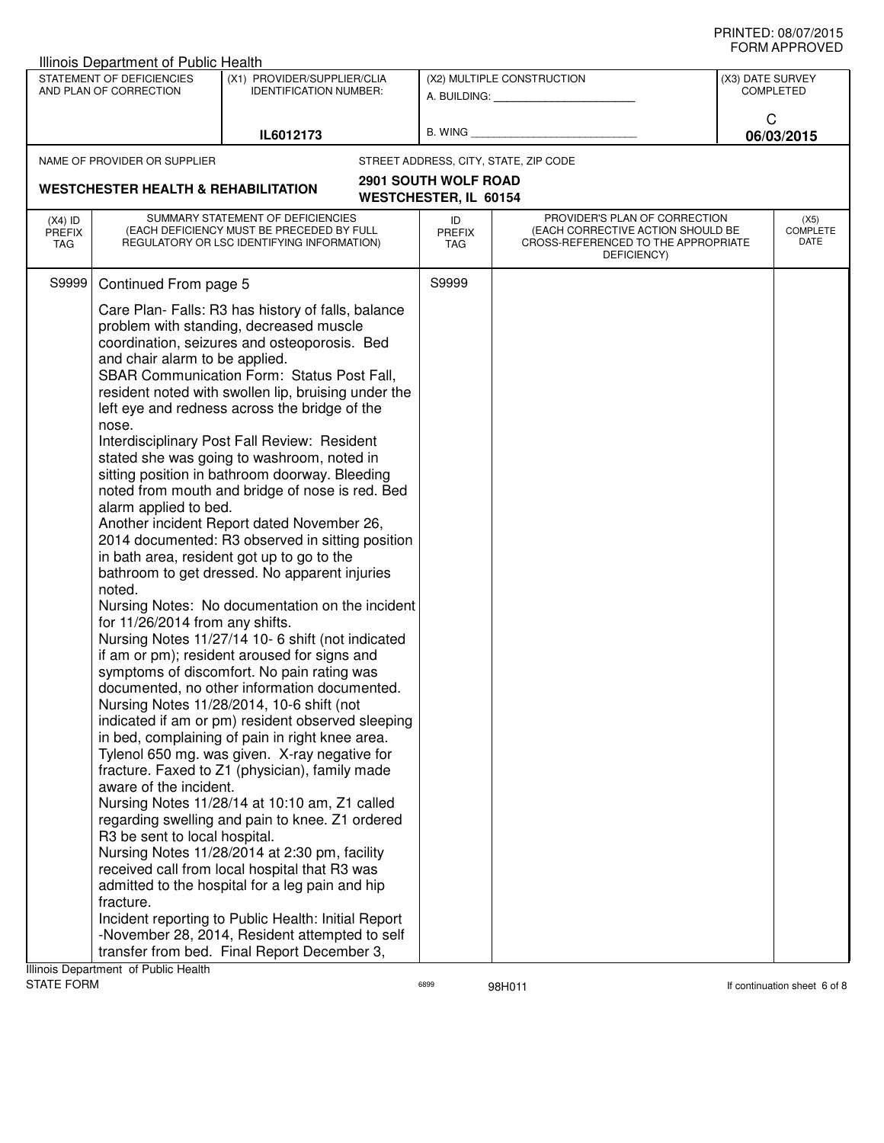| <b>Illinois Department of Public Health</b>                                                                                                                                           |                                                                                                                                                                                                                                                                                                                                                                                                                                                                                                                                                                                                                                                                                                                                                                                                                                                                                                                                                                                                                                                                                                                                                                                                                                                                                                                                                                                                                                                                                                                                                                                                                                        |                              |                                                                                                                          |                  |                                 |
|---------------------------------------------------------------------------------------------------------------------------------------------------------------------------------------|----------------------------------------------------------------------------------------------------------------------------------------------------------------------------------------------------------------------------------------------------------------------------------------------------------------------------------------------------------------------------------------------------------------------------------------------------------------------------------------------------------------------------------------------------------------------------------------------------------------------------------------------------------------------------------------------------------------------------------------------------------------------------------------------------------------------------------------------------------------------------------------------------------------------------------------------------------------------------------------------------------------------------------------------------------------------------------------------------------------------------------------------------------------------------------------------------------------------------------------------------------------------------------------------------------------------------------------------------------------------------------------------------------------------------------------------------------------------------------------------------------------------------------------------------------------------------------------------------------------------------------------|------------------------------|--------------------------------------------------------------------------------------------------------------------------|------------------|---------------------------------|
| STATEMENT OF DEFICIENCIES<br>AND PLAN OF CORRECTION                                                                                                                                   | (X1) PROVIDER/SUPPLIER/CLIA<br><b>IDENTIFICATION NUMBER:</b>                                                                                                                                                                                                                                                                                                                                                                                                                                                                                                                                                                                                                                                                                                                                                                                                                                                                                                                                                                                                                                                                                                                                                                                                                                                                                                                                                                                                                                                                                                                                                                           |                              | (X2) MULTIPLE CONSTRUCTION<br>A. BUILDING: A. BUILDING:                                                                  | (X3) DATE SURVEY | <b>COMPLETED</b>                |
|                                                                                                                                                                                       | IL6012173                                                                                                                                                                                                                                                                                                                                                                                                                                                                                                                                                                                                                                                                                                                                                                                                                                                                                                                                                                                                                                                                                                                                                                                                                                                                                                                                                                                                                                                                                                                                                                                                                              | B. WING                      |                                                                                                                          | C                | 06/03/2015                      |
| NAME OF PROVIDER OR SUPPLIER                                                                                                                                                          |                                                                                                                                                                                                                                                                                                                                                                                                                                                                                                                                                                                                                                                                                                                                                                                                                                                                                                                                                                                                                                                                                                                                                                                                                                                                                                                                                                                                                                                                                                                                                                                                                                        |                              | STREET ADDRESS, CITY, STATE, ZIP CODE                                                                                    |                  |                                 |
| <b>WESTCHESTER HEALTH &amp; REHABILITATION</b>                                                                                                                                        |                                                                                                                                                                                                                                                                                                                                                                                                                                                                                                                                                                                                                                                                                                                                                                                                                                                                                                                                                                                                                                                                                                                                                                                                                                                                                                                                                                                                                                                                                                                                                                                                                                        | <b>2901 SOUTH WOLF ROAD</b>  |                                                                                                                          |                  |                                 |
|                                                                                                                                                                                       |                                                                                                                                                                                                                                                                                                                                                                                                                                                                                                                                                                                                                                                                                                                                                                                                                                                                                                                                                                                                                                                                                                                                                                                                                                                                                                                                                                                                                                                                                                                                                                                                                                        | <b>WESTCHESTER, IL 60154</b> |                                                                                                                          |                  |                                 |
| $(X4)$ ID<br><b>PREFIX</b><br>TAG                                                                                                                                                     | SUMMARY STATEMENT OF DEFICIENCIES<br>(EACH DEFICIENCY MUST BE PRECEDED BY FULL<br>REGULATORY OR LSC IDENTIFYING INFORMATION)                                                                                                                                                                                                                                                                                                                                                                                                                                                                                                                                                                                                                                                                                                                                                                                                                                                                                                                                                                                                                                                                                                                                                                                                                                                                                                                                                                                                                                                                                                           | ID<br><b>PREFIX</b><br>TAG   | PROVIDER'S PLAN OF CORRECTION<br>(EACH CORRECTIVE ACTION SHOULD BE<br>CROSS-REFERENCED TO THE APPROPRIATE<br>DEFICIENCY) |                  | (X5)<br><b>COMPLETE</b><br>DATE |
| S9999<br>Continued From page 5                                                                                                                                                        |                                                                                                                                                                                                                                                                                                                                                                                                                                                                                                                                                                                                                                                                                                                                                                                                                                                                                                                                                                                                                                                                                                                                                                                                                                                                                                                                                                                                                                                                                                                                                                                                                                        | S9999                        |                                                                                                                          |                  |                                 |
| and chair alarm to be applied.<br>nose.<br>alarm applied to bed.<br>noted.<br>for 11/26/2014 from any shifts.<br>aware of the incident.<br>R3 be sent to local hospital.<br>fracture. | Care Plan- Falls: R3 has history of falls, balance<br>problem with standing, decreased muscle<br>coordination, seizures and osteoporosis. Bed<br>SBAR Communication Form: Status Post Fall,<br>resident noted with swollen lip, bruising under the<br>left eye and redness across the bridge of the<br>Interdisciplinary Post Fall Review: Resident<br>stated she was going to washroom, noted in<br>sitting position in bathroom doorway. Bleeding<br>noted from mouth and bridge of nose is red. Bed<br>Another incident Report dated November 26,<br>2014 documented: R3 observed in sitting position<br>in bath area, resident got up to go to the<br>bathroom to get dressed. No apparent injuries<br>Nursing Notes: No documentation on the incident<br>Nursing Notes 11/27/14 10- 6 shift (not indicated<br>if am or pm); resident aroused for signs and<br>symptoms of discomfort. No pain rating was<br>documented, no other information documented.<br>Nursing Notes 11/28/2014, 10-6 shift (not<br>indicated if am or pm) resident observed sleeping<br>in bed, complaining of pain in right knee area.<br>Tylenol 650 mg. was given. X-ray negative for<br>fracture. Faxed to Z1 (physician), family made<br>Nursing Notes 11/28/14 at 10:10 am, Z1 called<br>regarding swelling and pain to knee. Z1 ordered<br>Nursing Notes 11/28/2014 at 2:30 pm, facility<br>received call from local hospital that R3 was<br>admitted to the hospital for a leg pain and hip<br>Incident reporting to Public Health: Initial Report<br>-November 28, 2014, Resident attempted to self<br>transfer from bed. Final Report December 3, |                              |                                                                                                                          |                  |                                 |
| Illinois Department of Public Health                                                                                                                                                  |                                                                                                                                                                                                                                                                                                                                                                                                                                                                                                                                                                                                                                                                                                                                                                                                                                                                                                                                                                                                                                                                                                                                                                                                                                                                                                                                                                                                                                                                                                                                                                                                                                        |                              |                                                                                                                          |                  |                                 |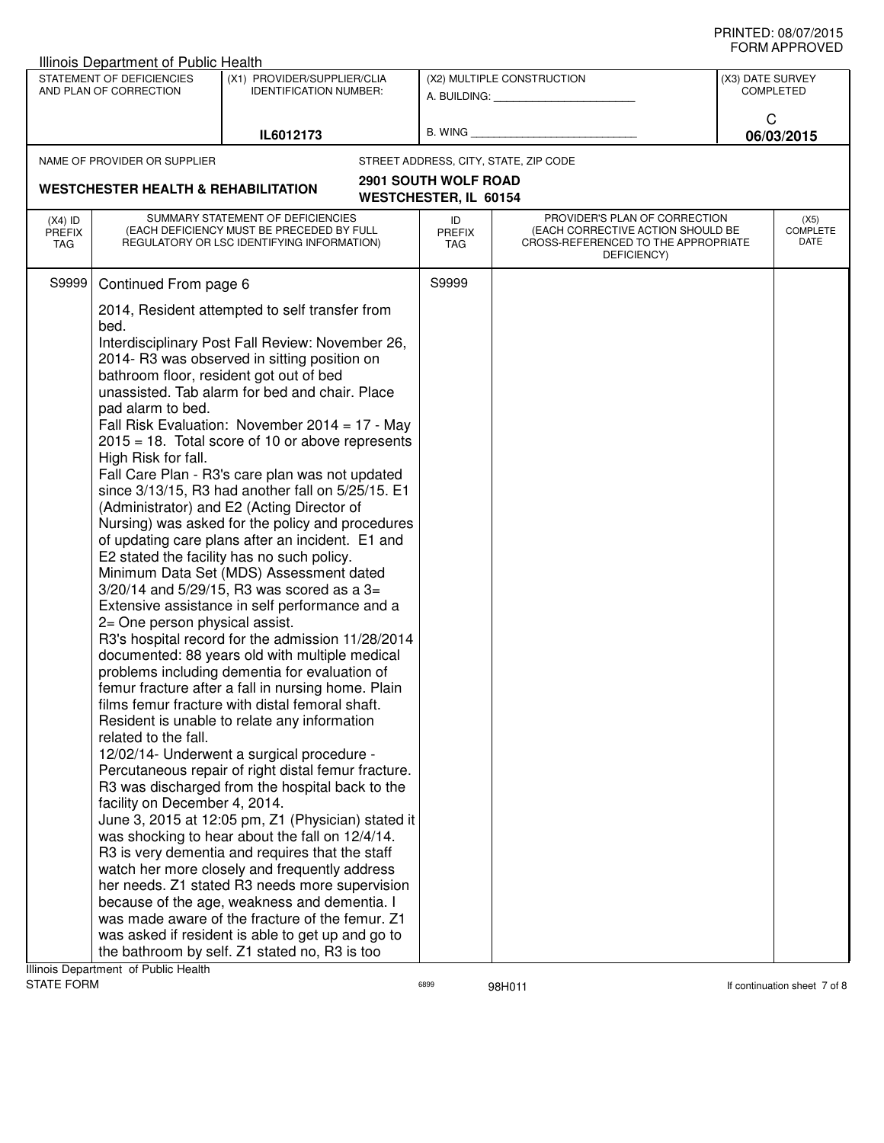| Illinois Department of Public Health |                                                                                                                                                                                        |                                                                                                                                                                                                                                                                                                                                                                                                                                                                                                                                                                                                                                                                                                                                                                                                                                                                                                                                                                                                                                                                                                                                                                                                                                                                                                                                                                                                                                                                                                                                                                                                                                                                                                                            |                                                             |                                                                                                                          |                                      | ᅴᄖᄞᇊᆝᆝᇅ៴ᄂ                       |
|--------------------------------------|----------------------------------------------------------------------------------------------------------------------------------------------------------------------------------------|----------------------------------------------------------------------------------------------------------------------------------------------------------------------------------------------------------------------------------------------------------------------------------------------------------------------------------------------------------------------------------------------------------------------------------------------------------------------------------------------------------------------------------------------------------------------------------------------------------------------------------------------------------------------------------------------------------------------------------------------------------------------------------------------------------------------------------------------------------------------------------------------------------------------------------------------------------------------------------------------------------------------------------------------------------------------------------------------------------------------------------------------------------------------------------------------------------------------------------------------------------------------------------------------------------------------------------------------------------------------------------------------------------------------------------------------------------------------------------------------------------------------------------------------------------------------------------------------------------------------------------------------------------------------------------------------------------------------------|-------------------------------------------------------------|--------------------------------------------------------------------------------------------------------------------------|--------------------------------------|---------------------------------|
|                                      | STATEMENT OF DEFICIENCIES<br>AND PLAN OF CORRECTION                                                                                                                                    | (X1) PROVIDER/SUPPLIER/CLIA<br><b>IDENTIFICATION NUMBER:</b>                                                                                                                                                                                                                                                                                                                                                                                                                                                                                                                                                                                                                                                                                                                                                                                                                                                                                                                                                                                                                                                                                                                                                                                                                                                                                                                                                                                                                                                                                                                                                                                                                                                               |                                                             | (X2) MULTIPLE CONSTRUCTION<br>A. BUILDING: A. BUILDING:                                                                  | (X3) DATE SURVEY<br><b>COMPLETED</b> |                                 |
|                                      |                                                                                                                                                                                        | IL6012173                                                                                                                                                                                                                                                                                                                                                                                                                                                                                                                                                                                                                                                                                                                                                                                                                                                                                                                                                                                                                                                                                                                                                                                                                                                                                                                                                                                                                                                                                                                                                                                                                                                                                                                  | B. WING                                                     |                                                                                                                          | C                                    | 06/03/2015                      |
|                                      | NAME OF PROVIDER OR SUPPLIER                                                                                                                                                           |                                                                                                                                                                                                                                                                                                                                                                                                                                                                                                                                                                                                                                                                                                                                                                                                                                                                                                                                                                                                                                                                                                                                                                                                                                                                                                                                                                                                                                                                                                                                                                                                                                                                                                                            |                                                             | STREET ADDRESS, CITY, STATE, ZIP CODE                                                                                    |                                      |                                 |
|                                      | <b>WESTCHESTER HEALTH &amp; REHABILITATION</b>                                                                                                                                         |                                                                                                                                                                                                                                                                                                                                                                                                                                                                                                                                                                                                                                                                                                                                                                                                                                                                                                                                                                                                                                                                                                                                                                                                                                                                                                                                                                                                                                                                                                                                                                                                                                                                                                                            | <b>2901 SOUTH WOLF ROAD</b><br><b>WESTCHESTER, IL 60154</b> |                                                                                                                          |                                      |                                 |
| $(X4)$ ID<br><b>PREFIX</b><br>TAG    |                                                                                                                                                                                        | SUMMARY STATEMENT OF DEFICIENCIES<br>(EACH DEFICIENCY MUST BE PRECEDED BY FULL<br>REGULATORY OR LSC IDENTIFYING INFORMATION)                                                                                                                                                                                                                                                                                                                                                                                                                                                                                                                                                                                                                                                                                                                                                                                                                                                                                                                                                                                                                                                                                                                                                                                                                                                                                                                                                                                                                                                                                                                                                                                               | ID<br><b>PREFIX</b><br>TAG                                  | PROVIDER'S PLAN OF CORRECTION<br>(EACH CORRECTIVE ACTION SHOULD BE<br>CROSS-REFERENCED TO THE APPROPRIATE<br>DEFICIENCY) |                                      | (X5)<br><b>COMPLETE</b><br>DATE |
| S9999                                | Continued From page 6                                                                                                                                                                  |                                                                                                                                                                                                                                                                                                                                                                                                                                                                                                                                                                                                                                                                                                                                                                                                                                                                                                                                                                                                                                                                                                                                                                                                                                                                                                                                                                                                                                                                                                                                                                                                                                                                                                                            | S9999                                                       |                                                                                                                          |                                      |                                 |
|                                      | bed.<br>bathroom floor, resident got out of bed<br>pad alarm to bed.<br>High Risk for fall.<br>2= One person physical assist.<br>related to the fall.<br>facility on December 4, 2014. | 2014, Resident attempted to self transfer from<br>Interdisciplinary Post Fall Review: November 26,<br>2014- R3 was observed in sitting position on<br>unassisted. Tab alarm for bed and chair. Place<br>Fall Risk Evaluation: November 2014 = 17 - May<br>$2015 = 18$ . Total score of 10 or above represents<br>Fall Care Plan - R3's care plan was not updated<br>since 3/13/15, R3 had another fall on 5/25/15. E1<br>(Administrator) and E2 (Acting Director of<br>Nursing) was asked for the policy and procedures<br>of updating care plans after an incident. E1 and<br>E2 stated the facility has no such policy.<br>Minimum Data Set (MDS) Assessment dated<br>$3/20/14$ and $5/29/15$ , R3 was scored as a 3=<br>Extensive assistance in self performance and a<br>R3's hospital record for the admission 11/28/2014<br>documented: 88 years old with multiple medical<br>problems including dementia for evaluation of<br>femur fracture after a fall in nursing home. Plain<br>films femur fracture with distal femoral shaft.<br>Resident is unable to relate any information<br>12/02/14- Underwent a surgical procedure -<br>Percutaneous repair of right distal femur fracture.<br>R3 was discharged from the hospital back to the<br>June 3, 2015 at 12:05 pm, Z1 (Physician) stated it<br>was shocking to hear about the fall on 12/4/14.<br>R3 is very dementia and requires that the staff<br>watch her more closely and frequently address<br>her needs. Z1 stated R3 needs more supervision<br>because of the age, weakness and dementia. I<br>was made aware of the fracture of the femur. Z1<br>was asked if resident is able to get up and go to<br>the bathroom by self. Z1 stated no, R3 is too |                                                             |                                                                                                                          |                                      |                                 |

Illinois Department of Public Health<br>STATE FORM

assets the state of the STATE of the STATE of the STATE of the STATE of the STATE of the STATE of the STATE of the STATE of the STATE of the STATE of the STATE of the STATE of the STATE of the STATE of the STATE of the STA